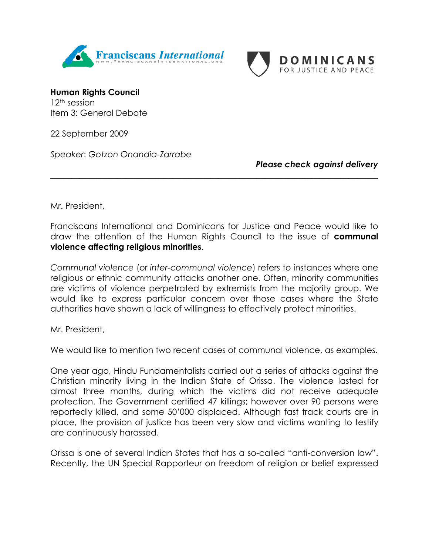



**Human Rights Council**  12th session Item 3: General Debate

22 September 2009

*Speaker*: *Gotzon Onandia-Zarrabe*

*Please check against delivery*

Mr. President,

Franciscans International and Dominicans for Justice and Peace would like to draw the attention of the Human Rights Council to the issue of **communal violence affecting religious minorities**.

\_\_\_\_\_\_\_\_\_\_\_\_\_\_\_\_\_\_\_\_\_\_\_\_\_\_\_\_\_\_\_\_\_\_\_\_\_\_\_\_\_\_\_\_\_\_\_\_\_\_\_\_\_\_\_\_\_\_\_\_\_\_\_\_\_\_\_\_\_\_\_\_\_\_\_\_\_\_

*Communal violence* (or *inter-communal violence*) refers to instances where one religious or ethnic community attacks another one. Often, minority communities are victims of violence perpetrated by extremists from the majority group. We would like to express particular concern over those cases where the State authorities have shown a lack of willingness to effectively protect minorities.

Mr. President,

We would like to mention two recent cases of communal violence, as examples.

One year ago, Hindu Fundamentalists carried out a series of attacks against the Christian minority living in the Indian State of Orissa. The violence lasted for almost three months, during which the victims did not receive adequate protection. The Government certified 47 killings; however over 90 persons were reportedly killed, and some 50'000 displaced. Although fast track courts are in place, the provision of justice has been very slow and victims wanting to testify are continuously harassed.

Orissa is one of several Indian States that has a so-called "anti-conversion law". Recently, the UN Special Rapporteur on freedom of religion or belief expressed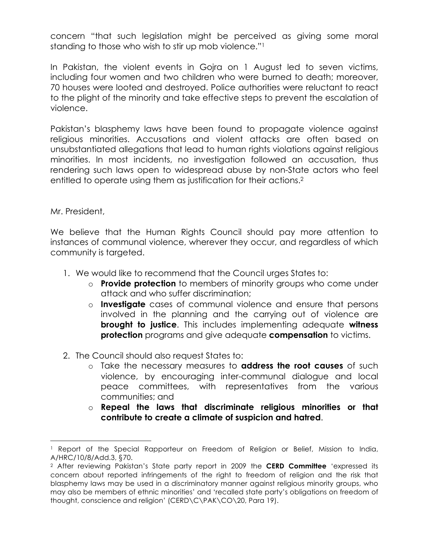concern "that such legislation might be perceived as giving some moral standing to those who wish to stir up mob violence."1

In Pakistan, the violent events in Gojra on 1 August led to seven victims, including four women and two children who were burned to death; moreover, 70 houses were looted and destroyed. Police authorities were reluctant to react to the plight of the minority and take effective steps to prevent the escalation of violence.

Pakistan's blasphemy laws have been found to propagate violence against religious minorities. Accusations and violent attacks are often based on unsubstantiated allegations that lead to human rights violations against religious minorities. In most incidents, no investigation followed an accusation, thus rendering such laws open to widespread abuse by non-State actors who feel entitled to operate using them as justification for their actions.<sup>2</sup>

Mr. President,

We believe that the Human Rights Council should pay more attention to instances of communal violence, wherever they occur, and regardless of which community is targeted.

- 1. We would like to recommend that the Council urges States to:
	- o **Provide protection** to members of minority groups who come under attack and who suffer discrimination;
	- o **Investigate** cases of communal violence and ensure that persons involved in the planning and the carrying out of violence are **brought to justice**. This includes implementing adequate **witness protection** programs and give adequate **compensation** to victims.
- 2. The Council should also request States to:
	- o Take the necessary measures to **address the root causes** of such violence, by encouraging inter-communal dialogue and local peace committees, with representatives from the various communities; and
	- o **Repeal the laws that discriminate religious minorities or that contribute to create a climate of suspicion and hatred**.

<sup>&</sup>lt;sup>1</sup> Report of the Special Rapporteur on Freedom of Religion or Belief, Mission to India, A/HRC/10/8/Add.3, §70.

<sup>2</sup> After reviewing Pakistan's State party report in 2009 the **CERD Committee** 'expressed its concern about reported infringements of the right to freedom of religion and the risk that blasphemy laws may be used in a discriminatory manner against religious minority groups, who may also be members of ethnic minorities' and 'recalled state party's obligations on freedom of thought, conscience and religion' (CERD\C\PAK\CO\20, Para 19).